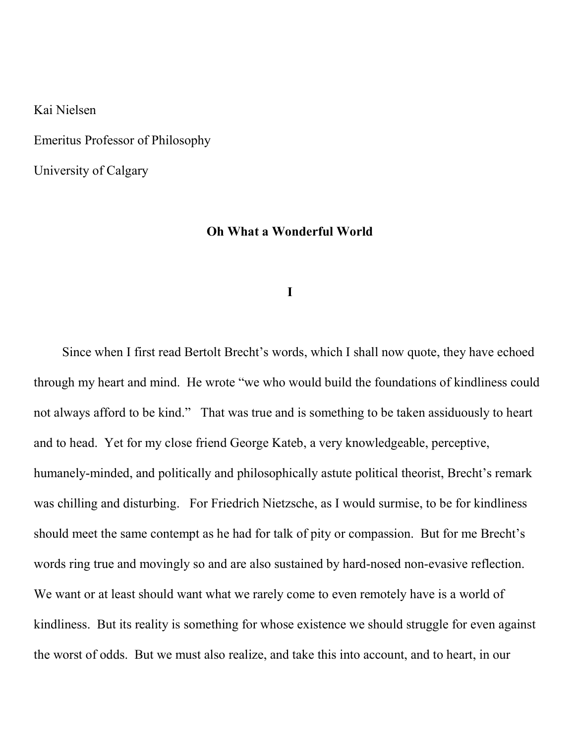Kai Nielsen

Emeritus Professor of Philosophy

University of Calgary

## Oh What a Wonderful World

## I

Since when I first read Bertolt Brecht's words, which I shall now quote, they have echoed through my heart and mind. He wrote "we who would build the foundations of kindliness could not always afford to be kind." That was true and is something to be taken assiduously to heart and to head. Yet for my close friend George Kateb, a very knowledgeable, perceptive, humanely-minded, and politically and philosophically astute political theorist, Brecht's remark was chilling and disturbing. For Friedrich Nietzsche, as I would surmise, to be for kindliness should meet the same contempt as he had for talk of pity or compassion. But for me Brecht's words ring true and movingly so and are also sustained by hard-nosed non-evasive reflection. We want or at least should want what we rarely come to even remotely have is a world of kindliness. But its reality is something for whose existence we should struggle for even against the worst of odds. But we must also realize, and take this into account, and to heart, in our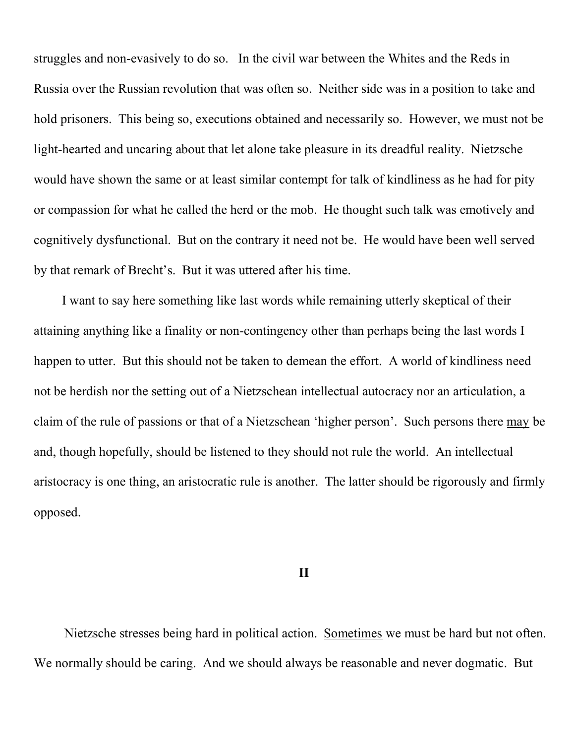struggles and non-evasively to do so. In the civil war between the Whites and the Reds in Russia over the Russian revolution that was often so. Neither side was in a position to take and hold prisoners. This being so, executions obtained and necessarily so. However, we must not be light-hearted and uncaring about that let alone take pleasure in its dreadful reality. Nietzsche would have shown the same or at least similar contempt for talk of kindliness as he had for pity or compassion for what he called the herd or the mob. He thought such talk was emotively and cognitively dysfunctional. But on the contrary it need not be. He would have been well served by that remark of Brecht's. But it was uttered after his time.

I want to say here something like last words while remaining utterly skeptical of their attaining anything like a finality or non-contingency other than perhaps being the last words I happen to utter. But this should not be taken to demean the effort. A world of kindliness need not be herdish nor the setting out of a Nietzschean intellectual autocracy nor an articulation, a claim of the rule of passions or that of a Nietzschean 'higher person'. Such persons there may be and, though hopefully, should be listened to they should not rule the world. An intellectual aristocracy is one thing, an aristocratic rule is another. The latter should be rigorously and firmly opposed.

## II

 Nietzsche stresses being hard in political action. Sometimes we must be hard but not often. We normally should be caring. And we should always be reasonable and never dogmatic. But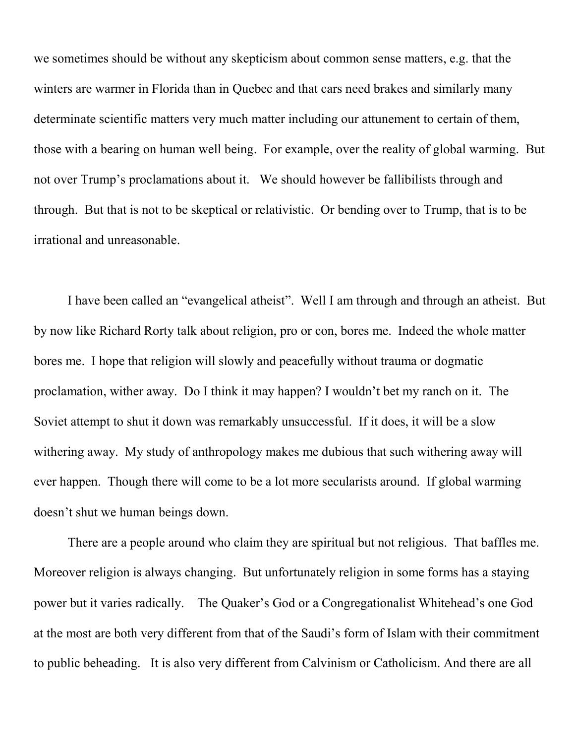we sometimes should be without any skepticism about common sense matters, e.g. that the winters are warmer in Florida than in Quebec and that cars need brakes and similarly many determinate scientific matters very much matter including our attunement to certain of them, those with a bearing on human well being. For example, over the reality of global warming. But not over Trump's proclamations about it. We should however be fallibilists through and through. But that is not to be skeptical or relativistic. Or bending over to Trump, that is to be irrational and unreasonable.

 I have been called an "evangelical atheist". Well I am through and through an atheist. But by now like Richard Rorty talk about religion, pro or con, bores me. Indeed the whole matter bores me. I hope that religion will slowly and peacefully without trauma or dogmatic proclamation, wither away. Do I think it may happen? I wouldn't bet my ranch on it. The Soviet attempt to shut it down was remarkably unsuccessful. If it does, it will be a slow withering away. My study of anthropology makes me dubious that such withering away will ever happen. Though there will come to be a lot more secularists around. If global warming doesn't shut we human beings down.

 There are a people around who claim they are spiritual but not religious. That baffles me. Moreover religion is always changing. But unfortunately religion in some forms has a staying power but it varies radically. The Quaker's God or a Congregationalist Whitehead's one God at the most are both very different from that of the Saudi's form of Islam with their commitment to public beheading. It is also very different from Calvinism or Catholicism. And there are all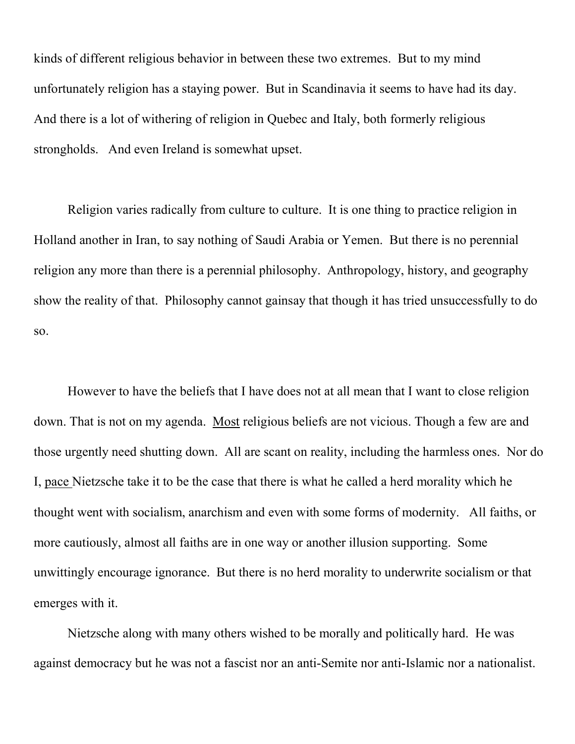kinds of different religious behavior in between these two extremes. But to my mind unfortunately religion has a staying power. But in Scandinavia it seems to have had its day. And there is a lot of withering of religion in Quebec and Italy, both formerly religious strongholds. And even Ireland is somewhat upset.

 Religion varies radically from culture to culture. It is one thing to practice religion in Holland another in Iran, to say nothing of Saudi Arabia or Yemen. But there is no perennial religion any more than there is a perennial philosophy. Anthropology, history, and geography show the reality of that. Philosophy cannot gainsay that though it has tried unsuccessfully to do so.

 However to have the beliefs that I have does not at all mean that I want to close religion down. That is not on my agenda. Most religious beliefs are not vicious. Though a few are and those urgently need shutting down. All are scant on reality, including the harmless ones. Nor do I, pace Nietzsche take it to be the case that there is what he called a herd morality which he thought went with socialism, anarchism and even with some forms of modernity. All faiths, or more cautiously, almost all faiths are in one way or another illusion supporting. Some unwittingly encourage ignorance. But there is no herd morality to underwrite socialism or that emerges with it.

 Nietzsche along with many others wished to be morally and politically hard. He was against democracy but he was not a fascist nor an anti-Semite nor anti-Islamic nor a nationalist.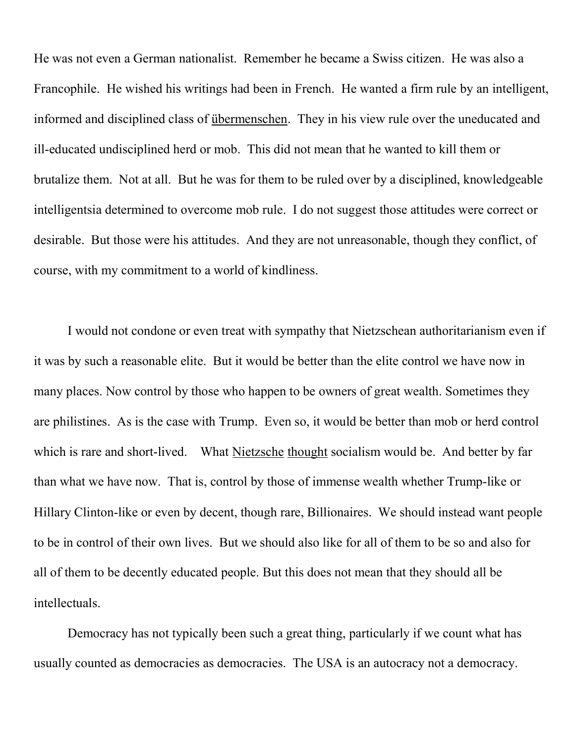He was not even a German nationalist. Remember he became a Swiss citizen. He was also a Francophile. He wished his writings had been in French. He wanted a firm rule by an intelligent, informed and disciplined class of übermenschen. They in his view rule over the uneducated and ill-educated undisciplined herd or mob. This did not mean that he wanted to kill them or brutalize them. Not at all. But he was for them to be ruled over by a disciplined, knowledgeable intelligentsia determined to overcome mob rule. I do not suggest those attitudes were correct or desirable. But those were his attitudes. And they are not unreasonable, though they conflict, of course, with my commitment to a world of kindliness.

 I would not condone or even treat with sympathy that Nietzschean authoritarianism even if it was by such a reasonable elite. But it would be better than the elite control we have now in many places. Now control by those who happen to be owners of great wealth. Sometimes they are philistines. As is the case with Trump. Even so, it would be better than mob or herd control which is rare and short-lived. What Nietzsche thought socialism would be. And better by far than what we have now. That is, control by those of immense wealth whether Trump-like or Hillary Clinton-like or even by decent, though rare, Billionaires. We should instead want people to be in control of their own lives. But we should also like for all of them to be so and also for all of them to be decently educated people. But this does not mean that they should all be intellectuals.

 Democracy has not typically been such a great thing, particularly if we count what has usually counted as democracies as democracies. The USA is an autocracy not a democracy.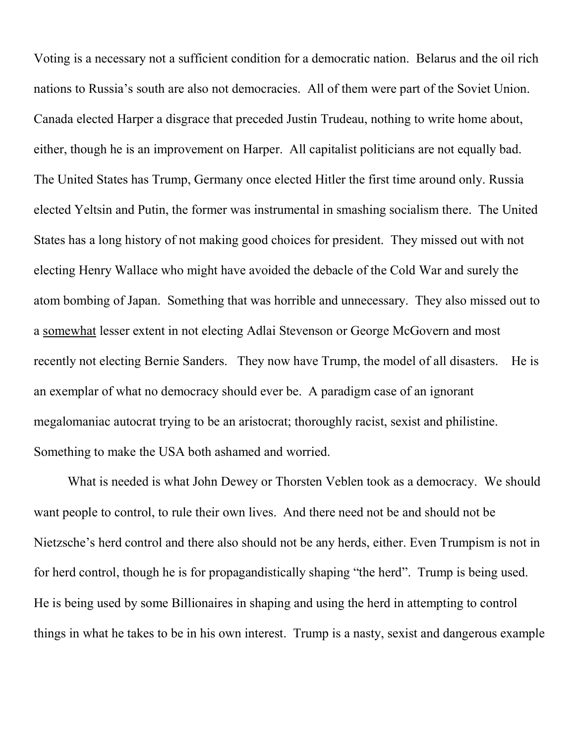Voting is a necessary not a sufficient condition for a democratic nation. Belarus and the oil rich nations to Russia's south are also not democracies. All of them were part of the Soviet Union. Canada elected Harper a disgrace that preceded Justin Trudeau, nothing to write home about, either, though he is an improvement on Harper. All capitalist politicians are not equally bad. The United States has Trump, Germany once elected Hitler the first time around only. Russia elected Yeltsin and Putin, the former was instrumental in smashing socialism there. The United States has a long history of not making good choices for president. They missed out with not electing Henry Wallace who might have avoided the debacle of the Cold War and surely the atom bombing of Japan. Something that was horrible and unnecessary. They also missed out to a somewhat lesser extent in not electing Adlai Stevenson or George McGovern and most recently not electing Bernie Sanders. They now have Trump, the model of all disasters. He is an exemplar of what no democracy should ever be. A paradigm case of an ignorant megalomaniac autocrat trying to be an aristocrat; thoroughly racist, sexist and philistine. Something to make the USA both ashamed and worried.

 What is needed is what John Dewey or Thorsten Veblen took as a democracy. We should want people to control, to rule their own lives. And there need not be and should not be Nietzsche's herd control and there also should not be any herds, either. Even Trumpism is not in for herd control, though he is for propagandistically shaping "the herd". Trump is being used. He is being used by some Billionaires in shaping and using the herd in attempting to control things in what he takes to be in his own interest. Trump is a nasty, sexist and dangerous example